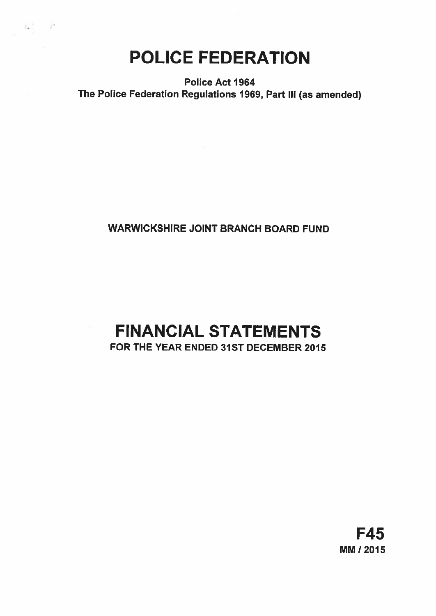# POLICE FEDERATION

 $\langle t_{\bullet} \rangle_{\circ} = \hat{t}^*$ 

Police Act 1964 The Police Federation Regulations 1969, Part Ill (as amended)

## WARWICKSHIRE JOINT BRANCH BOARD FUND

## FINANCIAL STATEMENTS FOR THE YEAR ENDED 31ST DECEMBER 2015

F45 MM! 2015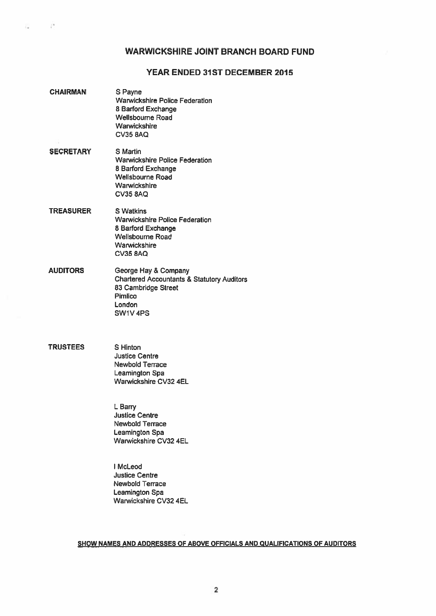## WARWICKSHIRE JOINT BRANCH BOARD FUND

## YEAR ENDED 31ST DECEMBER 2015

- CHAIRMAN S Payne Warwickshire Police Federation 8 Barford Exchange Wellsbourne Road **Warwickshire** CV35 8AQ SECRETARY S Martin Warwickshire Police Federation 8 Barford Exchange Wellsboume Road **Warwickshire CV35 8AQ** TREASURER S Watkins Warwickshire Police Federation 8 Barford Exchange Wellsbourne Road **Warwickshire** CV35 8AQ
- AUDITORS George Hay & Company Chartered Accountants & Statutory Auditors 83 Cambridge Street Pimlico London SW1V 4P5

## TRUSTEES S Hinton

 $\sim$   $^{14}$ 

풍도

Justice Centre Newbold Terrace Leamington Spa Warwickshire CV32 4EL

L Barry Justice Centre Newbold Terrace Leamington Spa Warwickshire CV32 4EL

I McLeod Justice Centre Newbold Terrace Leamington Spa Warwickshire CV32 4EL

## SHOW NAMES AND ADDRESSES OF ABOVE OFFICIALS AND QUALIFICATIONS OF AUDITORS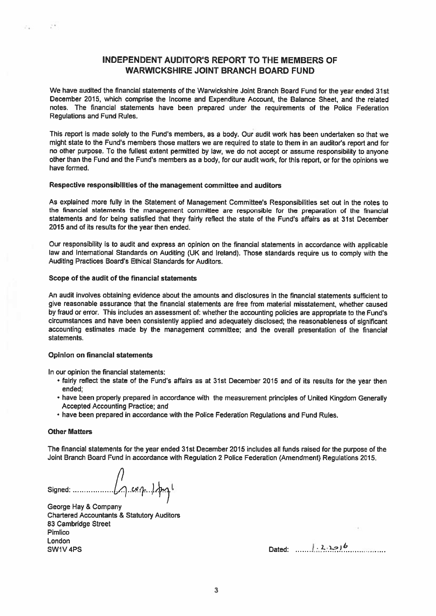## INDEPENDENT AUDITOR'S REPORT TO THE MEMBERS OF WARWICKSHIRE JOINT BRANCH BOARD FUND

We have audited the financial statements of the Warwickshire Joint Branch Board Fund for the year ended 31st December 2015, which comprise the Income and Expenditure Account, the Balance Sheet, and the related notes. The financial statements have been prepared under the requirements of the Police Federation Regulations and Fund Rules.

Thia repor<sup>t</sup> is made solely to the Fund's members, as <sup>a</sup> body. Our audit work has been undertaken so that we might state to the Fund's members those matters we are required to state to them in an auditor's report and for no other purpose. To the fullest extent permitted by law, we do not accep<sup>t</sup> or assume responsibility to anyone other than the Fund and the Fund's members as <sup>a</sup> body, for our audit work, for this report, or for the opinions we have formed.

## Respective responsibilities of the managemen<sup>t</sup> committee and auditors

As explained more fully in the Statement of Management Committee's Responsibilities set out in the notes to the financial statements the managemen<sup>t</sup> committee are responsible for the preparation of the financial statements and for being satisfied that they fairly reflect the state of the Fund's affairs as at 31st December 2015 and of its results for the year then ended.

Our responsibility is to audit and express an opinion on the financial statements in accordance with applicable law and International Standards on Auditing (UK and Ireland). Those standards require us to comply with the Auditing Practices Board's Ethical Standards for Auditors,

## Scope of the audit of the financial statements

An audit involves obtaining evidence about the amounts and disclosures in the financial statements sufficient to give reasonable assurance that the financial statements are free from material misstatement, whether caused by fraud or error. This includes an assessment of: whether the accounting policies are appropriate to the Fund's circumstances and have been consistently applied and adequately disclosed; the reasonableness of significant accounting estimates made by the managemen<sup>t</sup> committee; and the overall presentation of the financial statements.

## Opinion on financial statements

In our opinion the financial statements:

- fairly reflect the state of the Fund's affairs as at 31st December <sup>2015</sup> and of its results for the year then ended;
- have been properly prepared in accordance with the measurement principles of United Kingdom Generally Accepted Accounting Practice; and
- have been prepared in accordance with the Police Federation Regulations and Fund Rules.

## Other Matters

 $1.4$ 

on.

The financial statements for the year ended 31st December 2015 includes all funds raised for the purpose of the Joint Branch Board Fund in accordance with Regulation <sup>2</sup> Police Federation (Amendment) Regulations 2015.

Signed:  $\iint_{\gamma}$  carp  $\lambda$ pgl

George Hay & Company Chartered Accountants & Statutory Auditors 83 Cambridge Street Pimlico London  $S$ W1V 4PS  $\overline{S}$   $\overline{S}$   $\overline{S}$   $\overline{S}$   $\overline{S}$   $\overline{S}$   $\overline{S}$   $\overline{S}$   $\overline{S}$   $\overline{S}$   $\overline{S}$   $\overline{S}$   $\overline{S}$   $\overline{S}$   $\overline{S}$   $\overline{S}$   $\overline{S}$   $\overline{S}$   $\overline{S}$   $\overline{S}$   $\overline{S}$   $\overline{S}$   $\overline{S}$   $\over$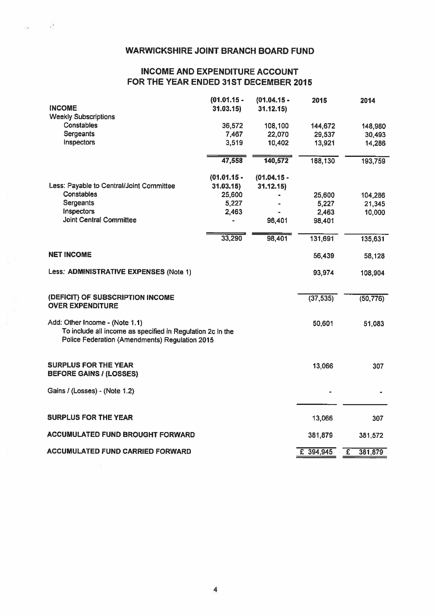## WARWICKSHIRE JOINT BRANCH BOARD FUND

 $\alpha$  .  $\alpha$ 

## INCOME AND EXPENDITURE ACCOUNT FOR THE YEAR ENDED 31ST DECEMBER 2015

|                                                                                                                                                | $(01.01.15 -$ | $(01.04.15 -$ | 2015        | 2014         |
|------------------------------------------------------------------------------------------------------------------------------------------------|---------------|---------------|-------------|--------------|
| <b>INCOME</b>                                                                                                                                  | 31.03.15      | 31.12.15      |             |              |
| <b>Weekly Subscriptions</b>                                                                                                                    |               |               |             |              |
| <b>Constables</b>                                                                                                                              | 36,572        | 108,100       | 144,672     | 148,980      |
| <b>Sergeants</b>                                                                                                                               | 7,467         | 22,070        | 29,537      | 30,493       |
| Inspectors                                                                                                                                     | 3,519         | 10,402        | 13,921      | 14,286       |
|                                                                                                                                                | 47,558        | 140,572       | 188,130     | 193,759      |
|                                                                                                                                                | $(01.01.15 -$ | $(01.04.15 -$ |             |              |
| Less: Payable to Central/Joint Committee                                                                                                       | 31.03.15      | 31.12.15      |             |              |
| Constables                                                                                                                                     | 25,600        |               | 25,600      | 104,286      |
| <b>Sergeants</b>                                                                                                                               | 5,227         |               | 5,227       | 21,345       |
| Inspectors                                                                                                                                     | 2,463         |               | 2,463       | 10,000       |
| <b>Joint Central Committee</b>                                                                                                                 |               | 98,401        | 98,401      |              |
|                                                                                                                                                | 33,290        | 98,401        | 131,691     | 135,631      |
| <b>NET INCOME</b>                                                                                                                              |               |               | 56,439      | 58,128       |
| Less: ADMINISTRATIVE EXPENSES (Note 1)                                                                                                         |               |               | 93,974      | 108,904      |
| (DEFICIT) OF SUBSCRIPTION INCOME                                                                                                               |               |               | (37, 535)   | (50, 776)    |
| <b>OVER EXPENDITURE</b>                                                                                                                        |               |               |             |              |
| Add: Other Income - (Note 1.1)<br>To include all income as specified in Regulation 2c in the<br>Police Federation (Amendments) Regulation 2015 |               |               | 50,601      | 51,083       |
| <b>SURPLUS FOR THE YEAR</b><br><b>BEFORE GAINS / (LOSSES)</b>                                                                                  |               |               | 13,066      | 307          |
| Gains / (Losses) - (Note 1.2)                                                                                                                  |               |               |             |              |
|                                                                                                                                                |               |               |             |              |
| <b>SURPLUS FOR THE YEAR</b>                                                                                                                    |               |               | 13,066      | 307          |
| <b>ACCUMULATED FUND BROUGHT FORWARD</b>                                                                                                        |               |               | 381,879     | 381,572      |
| <b>ACCUMULATED FUND CARRIED FORWARD</b>                                                                                                        |               |               | $E$ 394,945 | Ŧ<br>381,879 |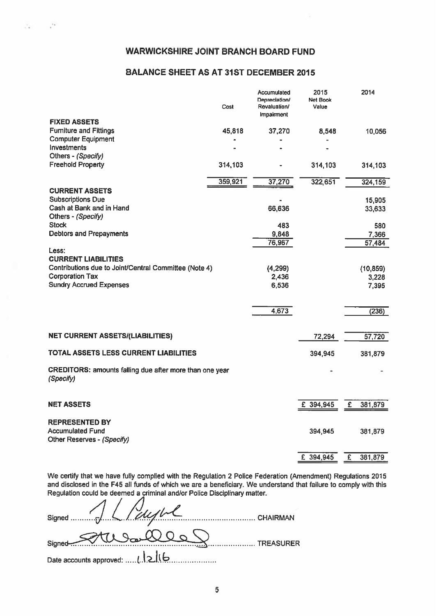$\mathcal{E}_\bullet=-\mathcal{E}_\bullet$ 

## BALANCE SHEET AS AT 31ST DECEMBER 2015

|                                                         | Cost    | Accumulated<br>Depreciation/<br>Revaluation/<br>Impairment | 2015<br><b>Net Book</b><br>Value | 2014                      |
|---------------------------------------------------------|---------|------------------------------------------------------------|----------------------------------|---------------------------|
| <b>FIXED ASSETS</b>                                     |         |                                                            |                                  |                           |
| <b>Furniture and Fittings</b>                           | 45,818  | 37,270                                                     | 8,548                            | 10,056                    |
| <b>Computer Equipment</b><br>Investments                |         |                                                            |                                  |                           |
| Others - (Specify)                                      |         |                                                            |                                  |                           |
| <b>Freehold Property</b>                                | 314,103 |                                                            | 314,103                          | 314,103                   |
|                                                         |         |                                                            |                                  |                           |
|                                                         | 359,921 | 37,270                                                     | 322,651                          | 324,159                   |
| <b>CURRENT ASSETS</b>                                   |         |                                                            |                                  |                           |
| <b>Subscriptions Due</b>                                |         |                                                            |                                  | 15,905                    |
| Cash at Bank and in Hand                                |         | 66,636                                                     |                                  | 33,633                    |
| Others - (Specify)                                      |         |                                                            |                                  |                           |
| <b>Stock</b>                                            |         | 483                                                        |                                  | 580                       |
| <b>Debtors and Prepayments</b>                          |         | 9,848                                                      |                                  | 7,366                     |
|                                                         |         | 76,967                                                     |                                  | 57,484                    |
| Less:<br><b>CURRENT LIABILITIES</b>                     |         |                                                            |                                  |                           |
| Contributions due to Joint/Central Committee (Note 4)   |         | (4,299)                                                    |                                  | (10, 859)                 |
| <b>Corporation Tax</b>                                  |         | 2,436                                                      |                                  | 3,228                     |
| <b>Sundry Accrued Expenses</b>                          |         | 6,536                                                      |                                  | 7,395                     |
|                                                         |         |                                                            |                                  |                           |
|                                                         |         |                                                            |                                  |                           |
|                                                         |         | 4,673                                                      |                                  | (236)                     |
|                                                         |         |                                                            |                                  |                           |
| <b>NET CURRENT ASSETS/(LIABILITIES)</b>                 |         |                                                            | 72,294                           | 57,720                    |
|                                                         |         |                                                            |                                  |                           |
| TOTAL ASSETS LESS CURRENT LIABILITIES                   |         |                                                            | 394,945                          | 381,879                   |
|                                                         |         |                                                            |                                  |                           |
| CREDITORS: amounts falling due after more than one year |         |                                                            |                                  |                           |
| (Specify)                                               |         |                                                            |                                  |                           |
|                                                         |         |                                                            |                                  |                           |
| <b>NET ASSETS</b>                                       |         |                                                            | £ 394,945                        | E<br>381,879              |
|                                                         |         |                                                            |                                  |                           |
| <b>REPRESENTED BY</b>                                   |         |                                                            |                                  |                           |
| <b>Accumulated Fund</b>                                 |         |                                                            | 394,945                          | 381,879                   |
| Other Reserves - (Specify)                              |         |                                                            |                                  |                           |
|                                                         |         |                                                            |                                  |                           |
|                                                         |         |                                                            | $E$ 394,945                      | $\overline{f}$<br>381,879 |

We certify that we have fully complied with the Regulation <sup>2</sup> Police Federation (Amendment) Regulations <sup>2015</sup> and disclosed in the F45 all funds of which we are <sup>a</sup> beneficiary. We understand that failure to comply with this Regulation could be deemed <sup>a</sup> criminal and/or Police Disciplinary matter.

| Signed 1 / Paughl | CHAIRMAN  |
|-------------------|-----------|
| Signed Stude Que  | TREASURER |
|                   |           |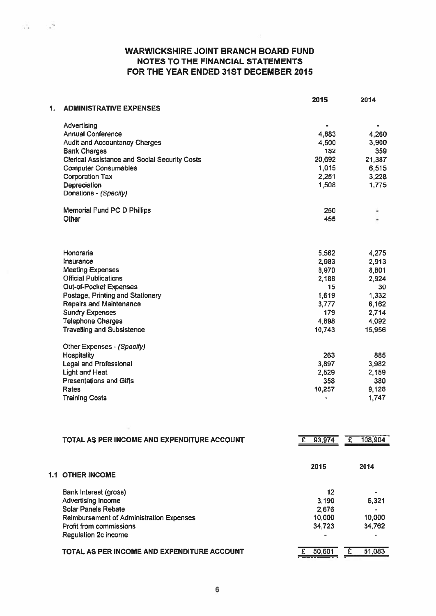WARWICKSHIRE JOINT BRANCH BOARD FUND NOTES TO THE FINANCIAL STATEMENTS FOR THE YEAR ENDED 31ST DECEMBER 2015

 $\mathcal{C}_\mathbf{d} = \mathcal{C}_\mathbf{d}$ 

| 1. | <b>ADMINISTRATIVE EXPENSES</b>                       | 2015                         | 2014           |
|----|------------------------------------------------------|------------------------------|----------------|
|    |                                                      |                              |                |
|    | Advertising<br><b>Annual Conference</b>              | $\qquad \qquad \blacksquare$ | $\bullet$      |
|    | <b>Audit and Accountancy Charges</b>                 | 4,883<br>4,500               | 4,260<br>3,900 |
|    | <b>Bank Charges</b>                                  | 182                          | 359            |
|    | <b>Clerical Assistance and Social Security Costs</b> | 20,692                       | 21,387         |
|    | <b>Computer Consumables</b>                          | 1,015                        | 6,515          |
|    | <b>Corporation Tax</b>                               | 2,251                        | 3,228          |
|    | Depreciation                                         | 1,508                        | 1,775          |
|    | Donations - (Specify)                                |                              |                |
|    | <b>Memorial Fund PC D Phillips</b>                   | 250                          |                |
|    | Other                                                | 455                          |                |
|    | Honoraria                                            |                              |                |
|    | Insurance                                            | 5,562<br>2,983               | 4,275<br>2,913 |
|    | <b>Meeting Expenses</b>                              | 8,970                        | 8,801          |
|    | <b>Official Publications</b>                         | 2,188                        | 2,924          |
|    | <b>Out-of-Pocket Expenses</b>                        | 15                           | 30             |
|    | Postage, Printing and Stationery                     | 1,619                        | 1,332          |
|    | <b>Repairs and Maintenance</b>                       | 3,777                        | 6,162          |
|    | <b>Sundry Expenses</b>                               | 179                          | 2,714          |
|    | <b>Telephone Charges</b>                             | 4,898                        | 4,092          |
|    | <b>Travelling and Subsistence</b>                    | 10,743                       | 15,956         |
|    | Other Expenses - (Specify)                           |                              |                |
|    | <b>Hospitality</b>                                   | 263                          | 885            |
|    | <b>Legal and Professional</b>                        | 3,897                        | 3,982          |
|    | <b>Light and Heat</b>                                | 2,529                        | 2,159          |
|    | <b>Presentations and Gifts</b>                       | 358                          | 380            |
|    | Rates                                                | 10,257                       | 9,128          |
|    | <b>Training Costs</b>                                |                              | 1,747          |

| TOTAL AS PER INCOME AND EXPENDITURE ACCOUNT     | 93,974 | 108,904<br>£ |
|-------------------------------------------------|--------|--------------|
| 1.1 OTHER INCOME                                | 2015   | 2014         |
| Bank Interest (gross)                           | 12     |              |
| <b>Advertising Income</b>                       | 3.190  | 6.321        |
| <b>Solar Panels Rebate</b>                      | 2,676  |              |
| <b>Reimbursement of Administration Expenses</b> | 10,000 | 10,000       |
| <b>Profit from commissions</b>                  | 34,723 | 34,762       |
| <b>Regulation 2c income</b>                     |        |              |
| TOTAL AS PER INCOME AND EXPENDITURE ACCOUNT     | 50,601 | 51,083       |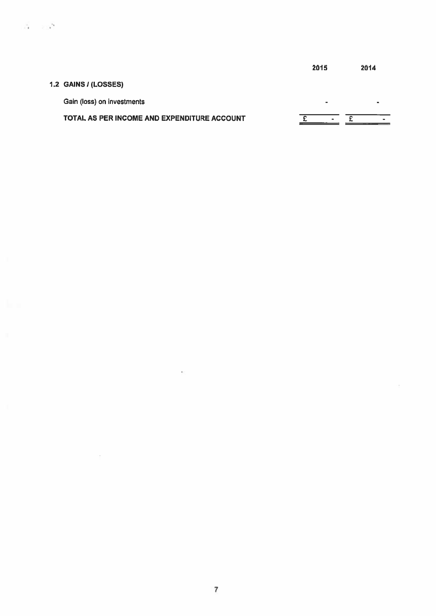|                                             | 2015 | 2014 |
|---------------------------------------------|------|------|
| 1.2 GAINS / (LOSSES)                        |      |      |
| Gain (loss) on investments                  | -    | -    |
| TOTAL AS PER INCOME AND EXPENDITURE ACCOUNT |      |      |

 $\mathcal{O}(\mathcal{O}_\mathcal{O})$  . The  $\mathcal{O}(\mathcal{O}_\mathcal{O})$ 

 $\sim 10^{-11}$ 

 $\mathcal{A}$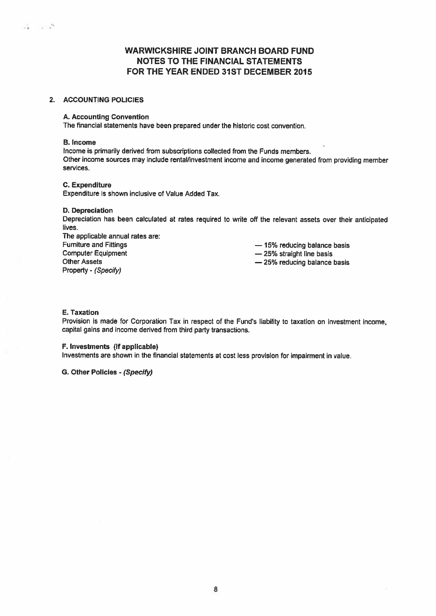## WARWICKSHIRE JOINT BRANCH BOARD FUND NOTES TO THE FINANCIAL STATEMENTS FOR THE YEAR ENDED 31ST DECEMBER 2015

## 2. ACCOUNTING POLICIES

## A. Accounting Convention

The financial statements have been prepared under the historic cost convention.

## B. Income

Income is primarily derived from subscriptions collected from the Funds members. Other income sources may include rental/investment income and income generated from providing member services.

## C. Expenditure

Expenditure is shown inclusive of Value Added Tax.

## 0. Depreciation

Depreciation has been calculated at rates required to write off the relevant assets over their anticipated lives.

The applicable annual rates are: Furniture and Fittings<br>
Computer Equipment<br>  $-$  25% straight line basis<br>  $-$  25% straight line basis Other Assets Property - (Specify)

 $-25%$  straight line basis

— 25% reducing balance basis

## E. Taxation

Provision is made for Corporation Tax in respec<sup>t</sup> of the Fund's liability to taxation on investment income, capital gains and income derived from third party transactions.

## F. Investments (if applicable)

Investments are shown in the financial statements at cost less provision for impairment in value.

G. Other Policies - (Specify)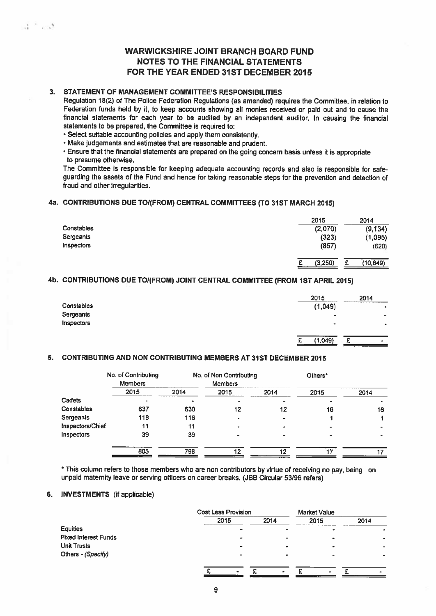## WARWICKSHIRE JOINT BRANCH BOARD FUND NOTES TO THE FINANCIAL STATEMENTS FOR THE YEAR ENDED 31ST DECEMBER 2015

## 3. STATEMENT OF MANAGEMENT COMMITTEE'S RESPONSIBILITIES

 $2.1 - 1.3$ 

Regulation 18(2) of The Police Federation Regulations (as amended) requires the Committee, in relation to Federation funds held by it, to keep accounts showing all monies received or paid out and to cause the financial statements for each year to be audited by an independent auditor. In causing the financial statements to be prepared, the Committee is required to:

- Select suitable accounting policies and apply them consistently.
- Make judgements and estimates that are reasonable and prudent.

• Ensure that the financial statements are prepared on the going concern basis unless it is appropriate to presume otherwise.

The Committee is responsible for keeping adequate accounting records and also is responsible for safe guarding the assets of the Fund and hence for taking reasonable steps for the prevention and detection of fraud and other irregularities.

## 4a. CONTRIBUTIONS DUE TO/(FROM) CENTRAL COMMITTEES (TO 31ST MARCH 2015)

|            | 2015    | 2014           |
|------------|---------|----------------|
| Constables | (2,070) | (9, 134)       |
| Sergeants  | (323)   | (1,095)        |
| Inspectors | (857)   | (620)          |
|            | (3,250) | (10, 849)<br>е |

## 4b. CONTRIBUTIONS DUE TO/(FROM) JOINT CENTRAL COMMITTEE (FROM 1ST APRIL 2015)

| Constables<br>Sergeants<br>Inspectors | 2015<br>(1,049)<br>۰<br>$\bullet$ | 2014<br>$\blacksquare$<br>۰<br>٠ |  |
|---------------------------------------|-----------------------------------|----------------------------------|--|
|                                       | (1,049)<br>_____                  | ۰                                |  |

## 5. CONTRIBUTING AND NON CONTRIBUTING MEMBERS AT 31ST DECEMBER 2015

|                  | No. of Contributing<br><b>Members</b> |      | No. of Non Contributing<br><b>Members</b> |      | Others* |      |
|------------------|---------------------------------------|------|-------------------------------------------|------|---------|------|
|                  | 2015                                  | 2014 | 2015                                      | 2014 | 2015    | 2014 |
| Cadets           |                                       |      | ۰                                         |      |         |      |
| Constables       | 637                                   | 630  | 12                                        | 12   | 16      | 16   |
| Sergeants        | 118                                   | 118  | -                                         |      |         |      |
| Inspectors/Chief | 11                                    | 11   |                                           |      |         |      |
| Inspectors       | 39                                    | 39   |                                           |      |         |      |
|                  | 805                                   | 798  | 12                                        | 12   | 17      |      |

\* This column refers to those members who are non contributors by virtue of receiving no pay, being on unpaid maternity leave or serving officers on career breaks. (JBB Circular 53)96 refers)

## 6. INVESTMENTS (if applicable)

|                             |      | <b>Cost Less Provision</b> |      |      |
|-----------------------------|------|----------------------------|------|------|
|                             | 2015 | 2014                       | 2015 | 2014 |
| <b>Equities</b>             |      |                            |      |      |
| <b>Fixed Interest Funds</b> |      |                            |      |      |
| <b>Unit Trusts</b>          |      |                            |      |      |
| Others - (Specify)          |      |                            |      |      |
|                             |      |                            |      |      |
|                             |      |                            |      |      |